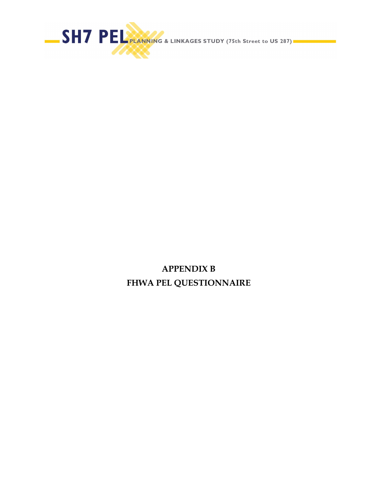

**APPENDIX B FHWA PEL QUESTIONNAIRE**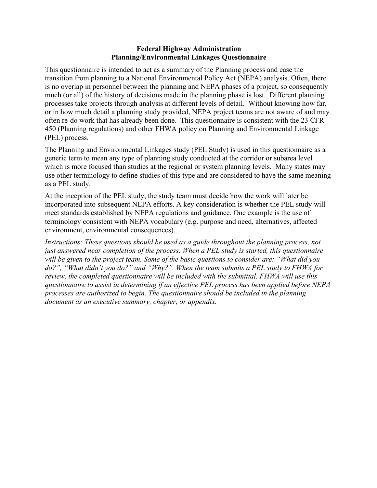#### **Federal Highway Administration Planning/Environmental Linkages Questionnaire**

This questionnaire is intended to act as a summary of the Planning process and ease the transition from planning to a National Environmental Policy Act (NEPA) analysis. Often, there is no overlap in personnel between the planning and NEPA phases of a project, so consequently much (or all) of the history of decisions made in the planning phase is lost. Different planning processes take projects through analysis at different levels of detail. Without knowing how far, or in how much detail a planning study provided, NEPA project teams are not aware of and may often re-do work that has already been done. This questionnaire is consistent with the 23 CFR 450 (Planning regulations) and other FHWA policy on Planning and Environmental Linkage (PEL) process.

The Planning and Environmental Linkages study (PEL Study) is used in this questionnaire as a generic term to mean any type of planning study conducted at the corridor or subarea level which is more focused than studies at the regional or system planning levels. Many states may use other terminology to define studies of this type and are considered to have the same meaning as a PEL study.

At the inception of the PEL study, the study team must decide how the work will later be incorporated into subsequent NEPA efforts. A key consideration is whether the PEL study will meet standards established by NEPA regulations and guidance. One example is the use of terminology consistent with NEPA vocabulary (e.g. purpose and need, alternatives, affected environment, environmental consequences).

*Instructions: These questions should be used as a guide throughout the planning process, not just answered near completion of the process. When a PEL study is started, this questionnaire will be given to the project team. Some of the basic questions to consider are: "What did you do?", "What didn't you do?" and "Why?". When the team submits a PEL study to FHWA for review, the completed questionnaire will be included with the submittal. FHWA will use this questionnaire to assist in determining if an effective PEL process has been applied before NEPA processes are authorized to begin. The questionnaire should be included in the planning document as an executive summary, chapter, or appendix.*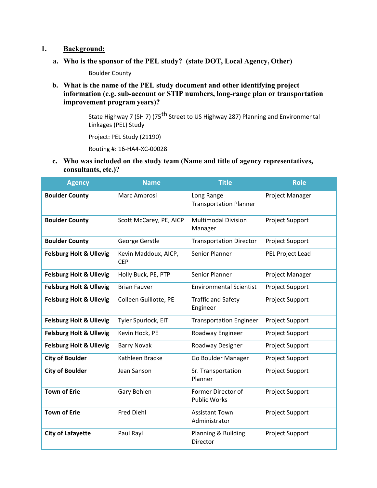#### **1. Background:**

**a. Who is the sponsor of the PEL study? (state DOT, Local Agency, Other)** 

Boulder County

**b. What is the name of the PEL study document and other identifying project information (e.g. sub-account or STIP numbers, long-range plan or transportation improvement program years)?** 

> State Highway 7 (SH 7) (75<sup>th</sup> Street to US Highway 287) Planning and Environmental Linkages (PEL) Study

Project: PEL Study (21190)

Routing #: 16‐HA4‐XC‐00028

**c. Who was included on the study team (Name and title of agency representatives, consultants, etc.)?** 

| <b>Agency</b>                      | <b>Name</b>                        | <b>Title</b>                                | <b>Role</b>            |
|------------------------------------|------------------------------------|---------------------------------------------|------------------------|
| <b>Boulder County</b>              | Marc Ambrosi                       | Long Range<br><b>Transportation Planner</b> | Project Manager        |
| <b>Boulder County</b>              | Scott McCarey, PE, AICP            | <b>Multimodal Division</b><br>Manager       | Project Support        |
| <b>Boulder County</b>              | George Gerstle                     | <b>Transportation Director</b>              | Project Support        |
| <b>Felsburg Holt &amp; Ullevig</b> | Kevin Maddoux, AICP,<br><b>CEP</b> | Senior Planner                              | PEL Project Lead       |
| <b>Felsburg Holt &amp; Ullevig</b> | Holly Buck, PE, PTP                | Senior Planner                              | Project Manager        |
| <b>Felsburg Holt &amp; Ullevig</b> | <b>Brian Fauver</b>                | <b>Environmental Scientist</b>              | Project Support        |
| <b>Felsburg Holt &amp; Ullevig</b> | Colleen Guillotte, PE              | <b>Traffic and Safety</b><br>Engineer       | <b>Project Support</b> |
| <b>Felsburg Holt &amp; Ullevig</b> | Tyler Spurlock, EIT                | <b>Transportation Engineer</b>              | Project Support        |
| <b>Felsburg Holt &amp; Ullevig</b> | Kevin Hock, PE                     | Roadway Engineer                            | <b>Project Support</b> |
| <b>Felsburg Holt &amp; Ullevig</b> | <b>Barry Novak</b>                 | Roadway Designer                            | Project Support        |
| <b>City of Boulder</b>             | Kathleen Bracke                    | Go Boulder Manager                          | Project Support        |
| <b>City of Boulder</b>             | Jean Sanson                        | Sr. Transportation<br>Planner               | Project Support        |
| <b>Town of Erie</b>                | Gary Behlen                        | Former Director of<br><b>Public Works</b>   | <b>Project Support</b> |
| <b>Town of Erie</b>                | <b>Fred Diehl</b>                  | <b>Assistant Town</b><br>Administrator      | <b>Project Support</b> |
| <b>City of Lafayette</b>           | Paul Rayl                          | Planning & Building<br>Director             | <b>Project Support</b> |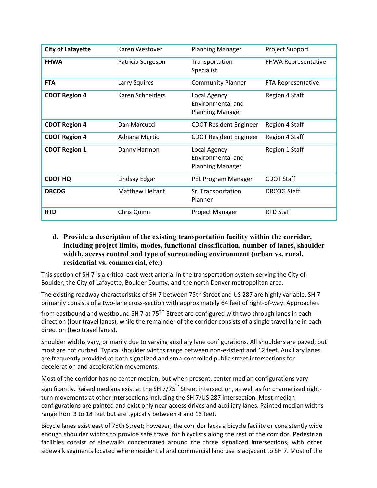| <b>City of Lafayette</b> | Karen Westover    | <b>Planning Manager</b>                                      | <b>Project Support</b>     |
|--------------------------|-------------------|--------------------------------------------------------------|----------------------------|
| <b>FHWA</b>              | Patricia Sergeson | Transportation<br>Specialist                                 | <b>FHWA Representative</b> |
| <b>FTA</b>               | Larry Squires     | <b>Community Planner</b>                                     | FTA Representative         |
| <b>CDOT Region 4</b>     | Karen Schneiders  | Local Agency<br>Environmental and<br><b>Planning Manager</b> | <b>Region 4 Staff</b>      |
| <b>CDOT Region 4</b>     | Dan Marcucci      | <b>CDOT Resident Engineer</b>                                | Region 4 Staff             |
| <b>CDOT Region 4</b>     | Adnana Murtic     | <b>CDOT Resident Engineer</b>                                | Region 4 Staff             |
| <b>CDOT Region 1</b>     | Danny Harmon      | Local Agency<br>Environmental and<br><b>Planning Manager</b> | Region 1 Staff             |
| <b>CDOT HQ</b>           | Lindsay Edgar     | PEL Program Manager                                          | <b>CDOT Staff</b>          |
| <b>DRCOG</b>             | Matthew Helfant   | Sr. Transportation<br>Planner                                | <b>DRCOG Staff</b>         |
| <b>RTD</b>               | Chris Quinn       | <b>Project Manager</b>                                       | <b>RTD Staff</b>           |

#### **d. Provide a description of the existing transportation facility within the corridor, including project limits, modes, functional classification, number of lanes, shoulder width, access control and type of surrounding environment (urban vs. rural, residential vs. commercial, etc.)**

This section of SH 7 is a critical east-west arterial in the transportation system serving the City of Boulder, the City of Lafayette, Boulder County, and the north Denver metropolitan area.

The existing roadway characteristics of SH 7 between 75th Street and US 287 are highly variable. SH 7 primarily consists of a two‐lane cross‐section with approximately 64 feet of right‐of‐way. Approaches

from eastbound and westbound SH 7 at 75<sup>th</sup> Street are configured with two through lanes in each direction (four travel lanes), while the remainder of the corridor consists of a single travel lane in each direction (two travel lanes).

Shoulder widths vary, primarily due to varying auxiliary lane configurations. All shoulders are paved, but most are not curbed. Typical shoulder widths range between non‐existent and 12 feet. Auxiliary lanes are frequently provided at both signalized and stop-controlled public street intersections for deceleration and acceleration movements.

Most of the corridor has no center median, but when present, center median configurations vary significantly. Raised medians exist at the SH 7/75<sup>th</sup> Street intersection, as well as for channelized rightturn movements at other intersections including the SH 7/US 287 intersection. Most median configurations are painted and exist only near access drives and auxiliary lanes. Painted median widths range from 3 to 18 feet but are typically between 4 and 13 feet.

Bicycle lanes exist east of 75th Street; however, the corridor lacks a bicycle facility or consistently wide enough shoulder widths to provide safe travel for bicyclists along the rest of the corridor. Pedestrian facilities consist of sidewalks concentrated around the three signalized intersections, with other sidewalk segments located where residential and commercial land use is adjacent to SH 7. Most of the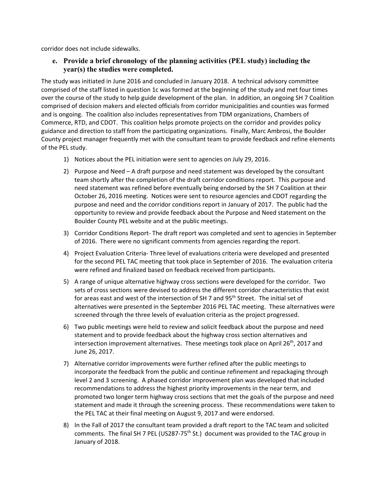corridor does not include sidewalks.

#### **e. Provide a brief chronology of the planning activities (PEL study) including the year(s) the studies were completed.**

The study was initiated in June 2016 and concluded in January 2018. A technical advisory committee comprised of the staff listed in question 1c was formed at the beginning of the study and met four times over the course of the study to help guide development of the plan. In addition, an ongoing SH 7 Coalition comprised of decision makers and elected officials from corridor municipalities and counties was formed and is ongoing. The coalition also includes representatives from TDM organizations, Chambers of Commerce, RTD, and CDOT. This coalition helps promote projects on the corridor and provides policy guidance and direction to staff from the participating organizations. Finally, Marc Ambrosi, the Boulder County project manager frequently met with the consultant team to provide feedback and refine elements of the PEL study.

- 1) Notices about the PEL initiation were sent to agencies on July 29, 2016.
- 2) Purpose and Need A draft purpose and need statement was developed by the consultant team shortly after the completion of the draft corridor conditions report. This purpose and need statement was refined before eventually being endorsed by the SH 7 Coalition at their October 26, 2016 meeting. Notices were sent to resource agencies and CDOT regarding the purpose and need and the corridor conditions report in January of 2017. The public had the opportunity to review and provide feedback about the Purpose and Need statement on the Boulder County PEL website and at the public meetings.
- 3) Corridor Conditions Report‐ The draft report was completed and sent to agencies in September of 2016. There were no significant comments from agencies regarding the report.
- 4) Project Evaluation Criteria‐ Three level of evaluations criteria were developed and presented for the second PEL TAC meeting that took place in September of 2016. The evaluation criteria were refined and finalized based on feedback received from participants.
- 5) A range of unique alternative highway cross sections were developed for the corridor. Two sets of cross sections were devised to address the different corridor characteristics that exist for areas east and west of the intersection of SH 7 and 95<sup>th</sup> Street. The initial set of alternatives were presented in the September 2016 PEL TAC meeting. These alternatives were screened through the three levels of evaluation criteria as the project progressed.
- 6) Two public meetings were held to review and solicit feedback about the purpose and need statement and to provide feedback about the highway cross section alternatives and intersection improvement alternatives. These meetings took place on April  $26<sup>th</sup>$ , 2017 and June 26, 2017.
- 7) Alternative corridor improvements were further refined after the public meetings to incorporate the feedback from the public and continue refinement and repackaging through level 2 and 3 screening. A phased corridor improvement plan was developed that included recommendations to address the highest priority improvements in the near term, and promoted two longer term highway cross sections that met the goals of the purpose and need statement and made it through the screening process. These recommendations were taken to the PEL TAC at their final meeting on August 9, 2017 and were endorsed.
- 8) In the Fall of 2017 the consultant team provided a draft report to the TAC team and solicited comments. The final SH 7 PEL (US287-75<sup>th</sup> St.) document was provided to the TAC group in January of 2018.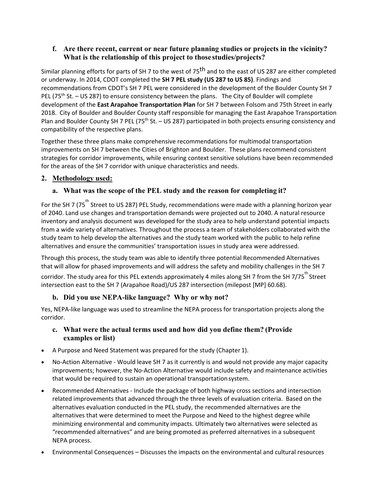## **f. Are there recent, current or near future planning studies or projects in the vicinity? What is the relationship of this project to those studies/projects?**

Similar planning efforts for parts of SH 7 to the west of 75<sup>th</sup> and to the east of US 287 are either completed or underway. In 2014, CDOT completed the **SH 7 PEL study (US 287 to US 85)**. Findings and recommendations from CDOT's SH 7 PEL were considered in the development of the Boulder County SH 7 PEL (75<sup>th</sup> St. – US 287) to ensure consistency between the plans. The City of Boulder will complete development of the **East Arapahoe Transportation Plan** for SH 7 between Folsom and 75th Street in early 2018. City of Boulder and Boulder County staff responsible for managing the East Arapahoe Transportation Plan and Boulder County SH 7 PEL (75<sup>th</sup> St. – US 287) participated in both projects ensuring consistency and compatibility of the respective plans.

Together these three plans make comprehensive recommendations for multimodal transportation improvements on SH 7 between the Cities of Brighton and Boulder. These plans recommend consistent strategies for corridor improvements, while ensuring context sensitive solutions have been recommended for the areas of the SH 7 corridor with unique characteristics and needs.

# **2. Methodology used:**

# **a. What was the scope of the PEL study and the reason for completing it?**

For the SH 7 (75<sup>th</sup> Street to US 287) PEL Study, recommendations were made with a planning horizon year of 2040. Land use changes and transportation demands were projected out to 2040. A natural resource inventory and analysis document was developed for the study area to help understand potential impacts from a wide variety of alternatives. Throughout the process a team of stakeholders collaborated with the study team to help develop the alternatives and the study team worked with the public to help refine alternatives and ensure the communities' transportation issues in study area were addressed.

Through this process, the study team was able to identify three potential Recommended Alternatives that will allow for phased improvements and will address the safety and mobility challenges in the SH 7

corridor. The study area for this PEL extends approximately 4 miles along SH 7 from the SH 7/75<sup>th</sup> Street intersection east to the SH 7 (Arapahoe Road)/US 287 intersection (milepost [MP] 60.68).

# **b. Did you use NEPA-like language? Why or why not?**

Yes, NEPA‐like language was used to streamline the NEPA process for transportation projects along the corridor.

## **c. What were the actual terms used and how did you define them? (Provide examples or list)**

- A Purpose and Need Statement was prepared for the study (Chapter 1).
- No-Action Alternative Would leave SH 7 as it currently is and would not provide any major capacity improvements; however, the No-Action Alternative would include safety and maintenance activities that would be required to sustain an operational transportationsystem.
- Recommended Alternatives Include the package of both highway cross sections and intersection related improvements that advanced through the three levels of evaluation criteria. Based on the alternatives evaluation conducted in the PEL study, the recommended alternatives are the alternatives that were determined to meet the Purpose and Need to the highest degree while minimizing environmental and community impacts. Ultimately two alternatives were selected as "recommended alternatives" and are being promoted as preferred alternatives in a subsequent NEPA process.
- Environmental Consequences Discusses the impacts on the environmental and cultural resources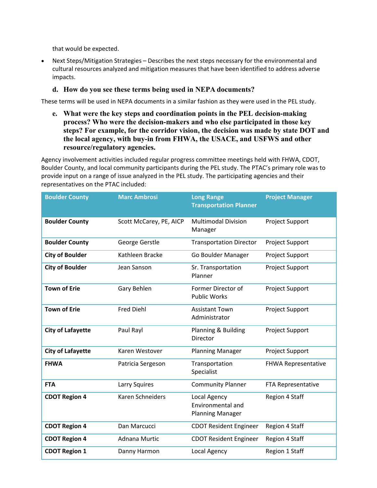that would be expected.

 Next Steps/Mitigation Strategies – Describes the next steps necessary for the environmental and cultural resources analyzed and mitigation measures that have been identified to address adverse impacts.

#### **d. How do you see these terms being used in NEPA documents?**

These terms will be used in NEPA documents in a similar fashion as they were used in the PEL study.

**e. What were the key steps and coordination points in the PEL decision-making process? Who were the decision-makers and who else participated in those key steps? For example, for the corridor vision, the decision was made by state DOT and the local agency, with buy-in from FHWA, the USACE, and USFWS and other resource/regulatory agencies.** 

Agency involvement activities included regular progress committee meetings held with FHWA, CDOT, Boulder County, and local community participants during the PEL study. The PTAC's primary role was to provide input on a range of issue analyzed in the PEL study. The participating agencies and their representatives on the PTAC included:

| <b>Boulder County</b>    | <b>Marc Ambrosi</b>     | <b>Long Range</b><br><b>Transportation Planner</b>           | <b>Project Manager</b>     |
|--------------------------|-------------------------|--------------------------------------------------------------|----------------------------|
| <b>Boulder County</b>    | Scott McCarey, PE, AICP | <b>Multimodal Division</b><br>Manager                        | Project Support            |
| <b>Boulder County</b>    | George Gerstle          | <b>Transportation Director</b>                               | <b>Project Support</b>     |
| <b>City of Boulder</b>   | Kathleen Bracke         | Go Boulder Manager                                           | Project Support            |
| <b>City of Boulder</b>   | Jean Sanson             | Sr. Transportation<br>Planner                                | Project Support            |
| <b>Town of Erie</b>      | Gary Behlen             | Former Director of<br><b>Public Works</b>                    | Project Support            |
| <b>Town of Erie</b>      | <b>Fred Diehl</b>       | <b>Assistant Town</b><br>Administrator                       | <b>Project Support</b>     |
| <b>City of Lafayette</b> | Paul Rayl               | Planning & Building<br><b>Director</b>                       | Project Support            |
| <b>City of Lafayette</b> | Karen Westover          | <b>Planning Manager</b>                                      | <b>Project Support</b>     |
| <b>FHWA</b>              | Patricia Sergeson       | Transportation<br>Specialist                                 | <b>FHWA Representative</b> |
| <b>FTA</b>               | Larry Squires           | <b>Community Planner</b>                                     | FTA Representative         |
| <b>CDOT Region 4</b>     | Karen Schneiders        | Local Agency<br>Environmental and<br><b>Planning Manager</b> | Region 4 Staff             |
| <b>CDOT Region 4</b>     | Dan Marcucci            | <b>CDOT Resident Engineer</b>                                | Region 4 Staff             |
| <b>CDOT Region 4</b>     | Adnana Murtic           | <b>CDOT Resident Engineer</b>                                | Region 4 Staff             |
| <b>CDOT Region 1</b>     | Danny Harmon            | Local Agency                                                 | Region 1 Staff             |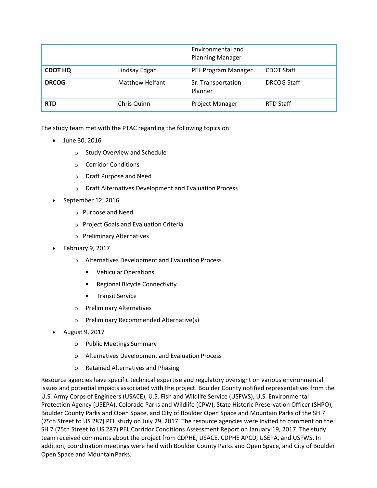|                |                        | Environmental and<br><b>Planning Manager</b> |                    |
|----------------|------------------------|----------------------------------------------|--------------------|
| <b>CDOT HQ</b> | Lindsay Edgar          | PEL Program Manager                          | <b>CDOT Staff</b>  |
| <b>DRCOG</b>   | <b>Matthew Helfant</b> | Sr. Transportation<br>Planner                | <b>DRCOG Staff</b> |
| <b>RTD</b>     | Chris Quinn            | Project Manager                              | RTD Staff          |

The study team met with the PTAC regarding the following topics on:

- June 30, 2016
	- o Study Overview and Schedule
	- o Corridor Conditions
	- o Draft Purpose and Need
	- o Draft Alternatives Development and Evaluation Process
- September 12, 2016
	- o Purpose and Need
	- o Project Goals and Evaluation Criteria
	- o Preliminary Alternatives
- February 9, 2017
	- o Alternatives Development and Evaluation Process
		- **•** Vehicular Operations
		- **Regional Bicycle Connectivity**
		- **Transit Service**
	- o Preliminary Alternatives
	- o Preliminary Recommended Alternative(s)
- August 9, 2017
	- o Public Meetings Summary
	- o Alternatives Development and Evaluation Process
	- o Retained Alternatives and Phasing

Resource agencies have specific technical expertise and regulatory oversight on various environmental issues and potential impacts associated with the project. Boulder County notified representatives from the U.S. Army Corps of Engineers (USACE), U.S. Fish and Wildlife Service (USFWS), U.S. Environmental Protection Agency (USEPA), Colorado Parks and Wildlife (CPW), State Historic Preservation Officer (SHPO), Boulder County Parks and Open Space, and City of Boulder Open Space and Mountain Parks of the SH 7 (75th Street to US 287) PEL study on July 29, 2017. The resource agencies were invited to comment on the SH 7 (75th Street to US 287) PEL Corridor Conditions Assessment Report on January 19, 2017. The study team received comments about the project from CDPHE, USACE, CDPHE APCD, USEPA, and USFWS. In addition, coordination meetings were held with Boulder County Parks and Open Space, and City of Boulder Open Space and MountainParks.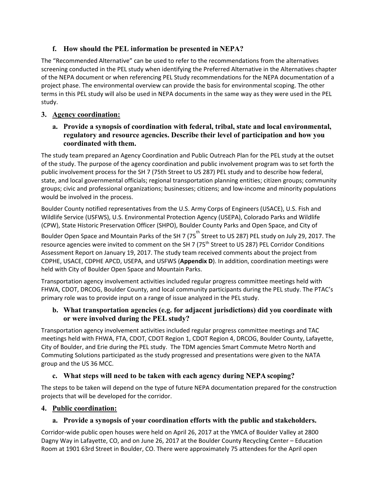# **f. How should the PEL information be presented in NEPA?**

The "Recommended Alternative" can be used to refer to the recommendations from the alternatives screening conducted in the PEL study when identifying the Preferred Alternative in the Alternatives chapter of the NEPA document or when referencing PEL Study recommendations for the NEPA documentation of a project phase. The environmental overview can provide the basis for environmental scoping. The other terms in this PEL study will also be used in NEPA documents in the same way as they were used in the PEL study.

## **3. Agency coordination:**

**a. Provide a synopsis of coordination with federal, tribal, state and local environmental, regulatory and resource agencies. Describe their level of participation and how you coordinated with them.** 

The study team prepared an Agency Coordination and Public Outreach Plan for the PEL study at the outset of the study. The purpose of the agency coordination and public involvement program was to set forth the public involvement process for the SH 7 (75th Street to US 287) PEL study and to describe how federal, state, and local governmental officials; regional transportation planning entities; citizen groups; community groups; civic and professional organizations; businesses; citizens; and low‐income and minority populations would be involved in the process.

Boulder County notified representatives from the U.S. Army Corps of Engineers (USACE), U.S. Fish and Wildlife Service (USFWS), U.S. Environmental Protection Agency (USEPA), Colorado Parks and Wildlife (CPW), State Historic Preservation Officer (SHPO), Boulder County Parks and Open Space, and City of

Boulder Open Space and Mountain Parks of the SH 7 (75<sup>th</sup> Street to US 287) PEL study on July 29, 2017. The resource agencies were invited to comment on the SH 7 (75<sup>th</sup> Street to US 287) PEL Corridor Conditions Assessment Report on January 19, 2017. The study team received comments about the project from CDPHE, USACE, CDPHE APCD, USEPA, and USFWS (**Appendix D**). In addition, coordination meetings were held with City of Boulder Open Space and Mountain Parks.

Transportation agency involvement activities included regular progress committee meetings held with FHWA, CDOT, DRCOG, Boulder County, and local community participants during the PEL study. The PTAC's primary role was to provide input on a range of issue analyzed in the PEL study.

## **b. What transportation agencies (e.g. for adjacent jurisdictions) did you coordinate with or were involved during the PEL study?**

Transportation agency involvement activities included regular progress committee meetings and TAC meetings held with FHWA, FTA, CDOT, CDOT Region 1, CDOT Region 4, DRCOG, Boulder County, Lafayette, City of Boulder, and Erie during the PEL study. The TDM agencies Smart Commute Metro North and Commuting Solutions participated as the study progressed and presentations were given to the NATA group and the US 36 MCC.

# **c. What steps will need to be taken with each agency during NEPA scoping?**

The steps to be taken will depend on the type of future NEPA documentation prepared for the construction projects that will be developed for the corridor.

# **4. Public coordination:**

# **a. Provide a synopsis of your coordination efforts with the public and stakeholders.**

Corridor‐wide public open houses were held on April 26, 2017 at the YMCA of Boulder Valley at 2800 Dagny Way in Lafayette, CO, and on June 26, 2017 at the Boulder County Recycling Center – Education Room at 1901 63rd Street in Boulder, CO. There were approximately 75 attendees for the April open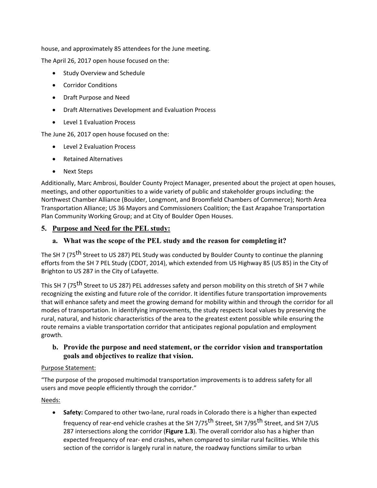house, and approximately 85 attendees for the June meeting.

The April 26, 2017 open house focused on the:

- Study Overview and Schedule
- Corridor Conditions
- Draft Purpose and Need
- Draft Alternatives Development and Evaluation Process
- Level 1 Evaluation Process

The June 26, 2017 open house focused on the:

- Level 2 Evaluation Process
- Retained Alternatives
- Next Steps

Additionally, Marc Ambrosi, Boulder County Project Manager, presented about the project at open houses, meetings, and other opportunities to a wide variety of public and stakeholder groups including: the Northwest Chamber Alliance (Boulder, Longmont, and Broomfield Chambers of Commerce); North Area Transportation Alliance; US 36 Mayors and Commissioners Coalition; the East Arapahoe Transportation Plan Community Working Group; and at City of Boulder Open Houses.

### **5. Purpose and Need for the PEL study:**

### **a. What was the scope of the PEL study and the reason for completing it?**

The SH 7 (75<sup>th</sup> Street to US 287) PEL Study was conducted by Boulder County to continue the planning efforts from the SH 7 PEL Study (CDOT, 2014), which extended from US Highway 85 (US 85) in the City of Brighton to US 287 in the City of Lafayette.

This SH 7 (75<sup>th</sup> Street to US 287) PEL addresses safety and person mobility on this stretch of SH 7 while recognizing the existing and future role of the corridor. It identifies future transportation improvements that will enhance safety and meet the growing demand for mobility within and through the corridor for all modes of transportation. In identifying improvements, the study respects local values by preserving the rural, natural, and historic characteristics of the area to the greatest extent possible while ensuring the route remains a viable transportation corridor that anticipates regional population and employment growth.

### **b. Provide the purpose and need statement, or the corridor vision and transportation goals and objectives to realize that vision.**

#### Purpose Statement:

"The purpose of the proposed multimodal transportation improvements is to address safety for all users and move people efficiently through the corridor."

#### Needs:

**Safety:** Compared to other two-lane, rural roads in Colorado there is a higher than expected frequency of rear-end vehicle crashes at the SH 7/75<sup>th</sup> Street, SH 7/95<sup>th</sup> Street, and SH 7/US 287 intersections along the corridor (**Figure 1.3**). The overall corridor also has a higher than expected frequency of rear‐ end crashes, when compared to similar rural facilities. While this section of the corridor is largely rural in nature, the roadway functions similar to urban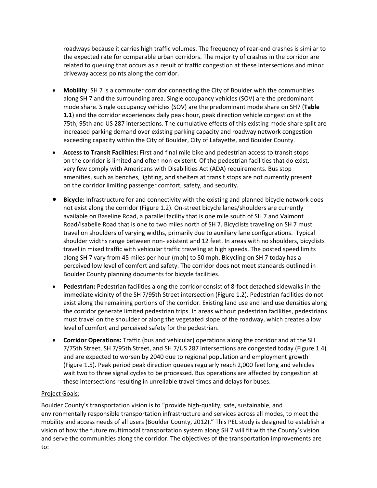roadways because it carries high traffic volumes. The frequency of rear‐end crashes is similar to the expected rate for comparable urban corridors. The majority of crashes in the corridor are related to queuing that occurs as a result of traffic congestion at these intersections and minor driveway access points along the corridor.

- **Mobility**: SH 7 is a commuter corridor connecting the City of Boulder with the communities along SH 7 and the surrounding area. Single occupancy vehicles (SOV) are the predominant mode share. Single occupancy vehicles (SOV) are the predominant mode share on SH7 (**Table 1.1**) and the corridor experiences daily peak hour, peak direction vehicle congestion at the 75th, 95th and US 287 intersections. The cumulative effects of this existing mode share split are increased parking demand over existing parking capacity and roadway network congestion exceeding capacity within the City of Boulder, City of Lafayette, and Boulder County.
- **Access to Transit Facilities:** First and final mile bike and pedestrian access to transit stops on the corridor is limited and often non‐existent. Of the pedestrian facilities that do exist, very few comply with Americans with Disabilities Act (ADA) requirements. Bus stop amenities, such as benches, lighting, and shelters at transit stops are not currently present on the corridor limiting passenger comfort, safety, and security.
- **Bicycle:** Infrastructure for and connectivity with the existing and planned bicycle network does not exist along the corridor (Figure 1.2). On‐street bicycle lanes/shoulders are currently available on Baseline Road, a parallel facility that is one mile south of SH 7 and Valmont Road/Isabelle Road that is one to two miles north of SH 7. Bicyclists traveling on SH 7 must travel on shoulders of varying widths, primarily due to auxiliary lane configurations. Typical shoulder widths range between non‐ existent and 12 feet. In areas with no shoulders, bicyclists travel in mixed traffic with vehicular traffic traveling at high speeds. The posted speed limits along SH 7 vary from 45 miles per hour (mph) to 50 mph. Bicycling on SH 7 today has a perceived low level of comfort and safety. The corridor does not meet standards outlined in Boulder County planning documents for bicycle facilities.
- **Pedestrian:** Pedestrian facilities along the corridor consist of 8‐foot detached sidewalks in the immediate vicinity of the SH 7/95th Street intersection (Figure 1.2). Pedestrian facilities do not exist along the remaining portions of the corridor. Existing land use and land use densities along the corridor generate limited pedestrian trips. In areas without pedestrian facilities, pedestrians must travel on the shoulder or along the vegetated slope of the roadway, which creates a low level of comfort and perceived safety for the pedestrian.
- **Corridor Operations:** Traffic (bus and vehicular) operations along the corridor and at the SH 7/75th Street, SH 7/95th Street, and SH 7/US 287 intersections are congested today (Figure 1.4) and are expected to worsen by 2040 due to regional population and employment growth (Figure 1.5). Peak period peak direction queues regularly reach 2,000 feet long and vehicles wait two to three signal cycles to be processed. Bus operations are affected by congestion at these intersections resulting in unreliable travel times and delays for buses.

#### Project Goals:

Boulder County's transportation vision is to "provide high‐quality, safe, sustainable, and environmentally responsible transportation infrastructure and services across all modes, to meet the mobility and access needs of all users (Boulder County, 2012)." This PEL study is designed to establish a vision of how the future multimodal transportation system along SH 7 will fit with the County's vision and serve the communities along the corridor. The objectives of the transportation improvements are to: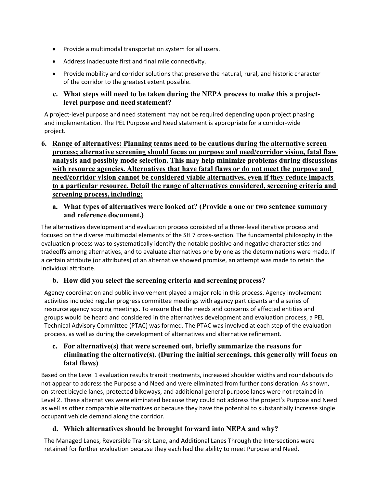- Provide a multimodal transportation system for all users.
- Address inadequate first and final mile connectivity.
- Provide mobility and corridor solutions that preserve the natural, rural, and historic character of the corridor to the greatest extent possible.

#### **c. What steps will need to be taken during the NEPA process to make this a projectlevel purpose and need statement?**

A project-level purpose and need statement may not be required depending upon project phasing and implementation. The PEL Purpose and Need statement is appropriate for a corridor‐wide project.

**6. Range of alternatives: Planning teams need to be cautious during the alternative screen process; alternative screening should focus on purpose and need/corridor vision, fatal flaw analysis and possibly mode selection. This may help minimize problems during discussions with resource agencies. Alternatives that have fatal flaws or do not meet the purpose and need/corridor vision cannot be considered viable alternatives, even if they reduce impacts to a particular resource. Detail the range of alternatives considered, screening criteria and screening process, including:** 

### **a. What types of alternatives were looked at? (Provide a one or two sentence summary and reference document.)**

The alternatives development and evaluation process consisted of a three‐level iterative process and focused on the diverse multimodal elements of the SH 7 cross‐section. The fundamental philosophy in the evaluation process was to systematically identify the notable positive and negative characteristics and tradeoffs among alternatives, and to evaluate alternatives one by one as the determinations were made. If a certain attribute (or attributes) of an alternative showed promise, an attempt was made to retain the individual attribute.

## **b. How did you select the screening criteria and screening process?**

Agency coordination and public involvement played a major role in this process. Agency involvement activities included regular progress committee meetings with agency participants and a series of resource agency scoping meetings. To ensure that the needs and concerns of affected entities and groups would be heard and considered in the alternatives development and evaluation process, a PEL Technical Advisory Committee (PTAC) was formed. The PTAC was involved at each step of the evaluation process, as well as during the development of alternatives and alternative refinement.

## **c. For alternative(s) that were screened out, briefly summarize the reasons for eliminating the alternative(s). (During the initial screenings, this generally will focus on fatal flaws)**

Based on the Level 1 evaluation results transit treatments, increased shoulder widths and roundabouts do not appear to address the Purpose and Need and were eliminated from further consideration. As shown, on‐street bicycle lanes, protected bikeways, and additional general purpose lanes were not retained in Level 2. These alternatives were eliminated because they could not address the project's Purpose and Need as well as other comparable alternatives or because they have the potential to substantially increase single occupant vehicle demand along the corridor.

## **d. Which alternatives should be brought forward into NEPA and why?**

The Managed Lanes, Reversible Transit Lane, and Additional Lanes Through the Intersections were retained for further evaluation because they each had the ability to meet Purpose and Need.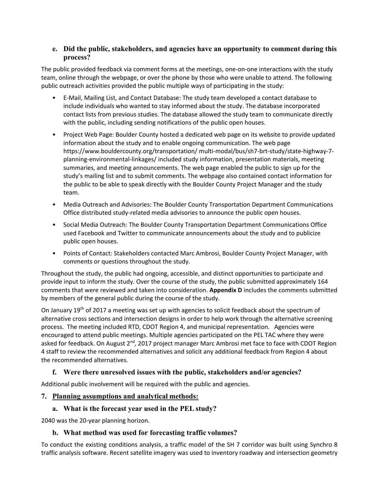### **e. Did the public, stakeholders, and agencies have an opportunity to comment during this process?**

The public provided feedback via comment forms at the meetings, one-on-one interactions with the study team, online through the webpage, or over the phone by those who were unable to attend. The following public outreach activities provided the public multiple ways of participating in the study:

- E‐Mail, Mailing List, and Contact Database: The study team developed a contact database to include individuals who wanted to stay informed about the study. The database incorporated contact lists from previous studies. The database allowed the study team to communicate directly with the public, including sending notifications of the public open houses.
- Project Web Page: Boulder County hosted a dedicated web page on its website to provide updated information about the study and to enable ongoing communication. The web page https://www.bouldercounty.org/transportation/ multi-modal/bus/sh7-brt-study/state-highway-7planning‐environmental‐linkages/ included study information, presentation materials, meeting summaries, and meeting announcements. The web page enabled the public to sign up for the study's mailing list and to submit comments. The webpage also contained contact information for the public to be able to speak directly with the Boulder County Project Manager and the study team.
- Media Outreach and Advisories: The Boulder County Transportation Department Communications Office distributed study‐related media advisories to announce the public open houses.
- Social Media Outreach: The Boulder County Transportation Department Communications Office used Facebook and Twitter to communicate announcements about the study and to publicize public open houses.
- Points of Contact: Stakeholders contacted Marc Ambrosi, Boulder County Project Manager, with comments or questions throughout the study.

Throughout the study, the public had ongoing, accessible, and distinct opportunities to participate and provide input to inform the study. Over the course of the study, the public submitted approximately 164 comments that were reviewed and taken into consideration. **Appendix D** includes the comments submitted by members of the general public during the course of the study.

On January 19<sup>th</sup> of 2017 a meeting was set up with agencies to solicit feedback about the spectrum of alternative cross sections and intersection designs in order to help work through the alternative screening process. The meeting included RTD, CDOT Region 4, and municipal representation. Agencies were encouraged to attend public meetings. Multiple agencies participated on the PEL TAC where they were asked for feedback. On August 2<sup>nd</sup>, 2017 project manager Marc Ambrosi met face to face with CDOT Region 4 staff to review the recommended alternatives and solicit any additional feedback from Region 4 about the recommended alternatives.

# **f. Were there unresolved issues with the public, stakeholders and/or agencies?**

Additional public involvement will be required with the public and agencies.

## **7. Planning assumptions and analytical methods:**

# **a. What is the forecast year used in the PEL study?**

2040 was the 20‐year planning horizon.

## **b. What method was used for forecasting traffic volumes?**

To conduct the existing conditions analysis, a traffic model of the SH 7 corridor was built using Synchro 8 traffic analysis software. Recent satellite imagery was used to inventory roadway and intersection geometry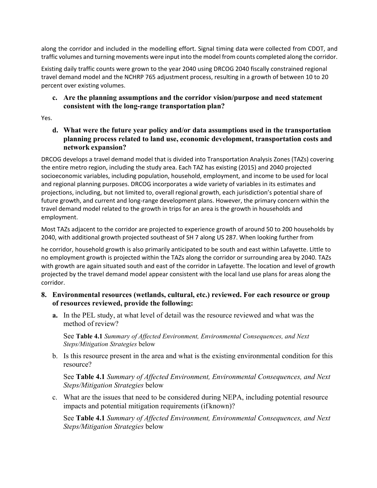along the corridor and included in the modelling effort. Signal timing data were collected from CDOT, and traffic volumes and turning movements were input into the model from counts completed along the corridor.

Existing daily traffic counts were grown to the year 2040 using DRCOG 2040 fiscally constrained regional travel demand model and the NCHRP 765 adjustment process, resulting in a growth of between 10 to 20 percent over existing volumes.

## **c. Are the planning assumptions and the corridor vision/purpose and need statement consistent with the long-range transportation plan?**

Yes.

**d. What were the future year policy and/or data assumptions used in the transportation planning process related to land use, economic development, transportation costs and network expansion?** 

DRCOG develops a travel demand model that is divided into Transportation Analysis Zones (TAZs) covering the entire metro region, including the study area. Each TAZ has existing (2015) and 2040 projected socioeconomic variables, including population, household, employment, and income to be used for local and regional planning purposes. DRCOG incorporates a wide variety of variables in its estimates and projections, including, but not limited to, overall regional growth, each jurisdiction's potential share of future growth, and current and long-range development plans. However, the primary concern within the travel demand model related to the growth in trips for an area is the growth in households and employment.

Most TAZs adjacent to the corridor are projected to experience growth of around 50 to 200 households by 2040, with additional growth projected southeast of SH 7 along US 287. When looking further from

he corridor, household growth is also primarily anticipated to be south and east within Lafayette. Little to no employment growth is projected within the TAZs along the corridor or surrounding area by 2040. TAZs with growth are again situated south and east of the corridor in Lafayette. The location and level of growth projected by the travel demand model appear consistent with the local land use plans for areas along the corridor.

- **8. Environmental resources (wetlands, cultural, etc.) reviewed. For each resource or group of resources reviewed, provide the following:** 
	- **a.** In the PEL study, at what level of detail was the resource reviewed and what was the method of review?

See **Table 4.1** *Summary of Affected Environment, Environmental Consequences, and Next Steps/Mitigation Strategies* below

b. Is this resource present in the area and what is the existing environmental condition for this resource?

See **Table 4.1** *Summary of Affected Environment, Environmental Consequences, and Next Steps/Mitigation Strategies* below

c. What are the issues that need to be considered during NEPA, including potential resource impacts and potential mitigation requirements (if known)?

See **Table 4.1** *Summary of Affected Environment, Environmental Consequences, and Next Steps/Mitigation Strategies* below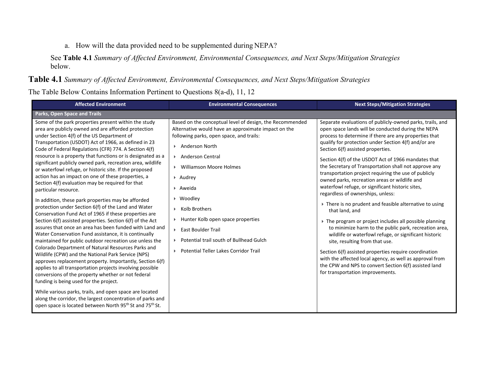#### a. How will the data provided need to be supplemented during NEPA?

See **Table 4.1** *Summary of Affected Environment, Environmental Consequences, and Next Steps/Mitigation Strategies* below.

#### **Table 4.1** *Summary of Affected Environment, Environmental Consequences, and Next Steps/Mitigation Strategies*

The Table Below Contains Information Pertinent to Questions 8(a-d), 11, 12

| <b>Affected Environment</b>                                                                                                                                                                                                                                                                                                                                                                                                                                                                                                                                                                                                                                                                                                                                                                                                                                                                                                                                                                                                                                                                                                                                                                                                                                                                                                                                                                                                                                                                                                                                             | <b>Environmental Consequences</b>                                                                                                                                                                                                                                                                                                                                                                                                                                                                                         | <b>Next Steps/Mitigation Strategies</b>                                                                                                                                                                                                                                                                                                                                                                                                                                                                                                                                                                                                                                                                                                                                                                                                                                                                                                                                                                                                                                                           |
|-------------------------------------------------------------------------------------------------------------------------------------------------------------------------------------------------------------------------------------------------------------------------------------------------------------------------------------------------------------------------------------------------------------------------------------------------------------------------------------------------------------------------------------------------------------------------------------------------------------------------------------------------------------------------------------------------------------------------------------------------------------------------------------------------------------------------------------------------------------------------------------------------------------------------------------------------------------------------------------------------------------------------------------------------------------------------------------------------------------------------------------------------------------------------------------------------------------------------------------------------------------------------------------------------------------------------------------------------------------------------------------------------------------------------------------------------------------------------------------------------------------------------------------------------------------------------|---------------------------------------------------------------------------------------------------------------------------------------------------------------------------------------------------------------------------------------------------------------------------------------------------------------------------------------------------------------------------------------------------------------------------------------------------------------------------------------------------------------------------|---------------------------------------------------------------------------------------------------------------------------------------------------------------------------------------------------------------------------------------------------------------------------------------------------------------------------------------------------------------------------------------------------------------------------------------------------------------------------------------------------------------------------------------------------------------------------------------------------------------------------------------------------------------------------------------------------------------------------------------------------------------------------------------------------------------------------------------------------------------------------------------------------------------------------------------------------------------------------------------------------------------------------------------------------------------------------------------------------|
| Parks, Open Space and Trails                                                                                                                                                                                                                                                                                                                                                                                                                                                                                                                                                                                                                                                                                                                                                                                                                                                                                                                                                                                                                                                                                                                                                                                                                                                                                                                                                                                                                                                                                                                                            |                                                                                                                                                                                                                                                                                                                                                                                                                                                                                                                           |                                                                                                                                                                                                                                                                                                                                                                                                                                                                                                                                                                                                                                                                                                                                                                                                                                                                                                                                                                                                                                                                                                   |
| Some of the park properties present within the study<br>area are publicly owned and are afforded protection<br>under Section 4(f) of the US Department of<br>Transportation (USDOT) Act of 1966, as defined in 23<br>Code of Federal Regulations (CFR) 774. A Section 4(f)<br>resource is a property that functions or is designated as a<br>significant publicly owned park, recreation area, wildlife<br>or waterfowl refuge, or historic site. If the proposed<br>action has an impact on one of these properties, a<br>Section 4(f) evaluation may be required for that<br>particular resource.<br>In addition, these park properties may be afforded<br>protection under Section 6(f) of the Land and Water<br>Conservation Fund Act of 1965 if these properties are<br>Section 6(f) assisted properties. Section 6(f) of the Act<br>assures that once an area has been funded with Land and<br>Water Conservation Fund assistance, it is continually<br>maintained for public outdoor recreation use unless the<br>Colorado Department of Natural Resources Parks and<br>Wildlife (CPW) and the National Park Service (NPS)<br>approves replacement property. Importantly, Section 6(f)<br>applies to all transportation projects involving possible<br>conversions of the property whether or not federal<br>funding is being used for the project.<br>While various parks, trails, and open space are located<br>along the corridor, the largest concentration of parks and<br>open space is located between North 95 <sup>th</sup> St and 75 <sup>th</sup> St. | Based on the conceptual level of design, the Recommended<br>Alternative would have an approximate impact on the<br>following parks, open space, and trails:<br>▶ Anderson North<br>Anderson Central<br><b>Williamson Moore Holmes</b><br>ъ.<br>$\triangleright$ Audrey<br>▶ Aweida<br>▶ Woodley<br>Kolb Brothers<br>$\blacktriangleright$ .<br>Hunter Kolb open space properties<br>Þ.<br>▶ East Boulder Trail<br>Potential trail south of Bullhead Gulch<br>$\mathbf{F}$<br><b>Potential Teller Lakes Corridor Trail</b> | Separate evaluations of publicly-owned parks, trails, and<br>open space lands will be conducted during the NEPA<br>process to determine if there are any properties that<br>qualify for protection under Section 4(f) and/or are<br>Section 6(f) assisted properties.<br>Section 4(f) of the USDOT Act of 1966 mandates that<br>the Secretary of Transportation shall not approve any<br>transportation project requiring the use of publicly<br>owned parks, recreation areas or wildlife and<br>waterfowl refuge, or significant historic sites,<br>regardless of ownerships, unless:<br>There is no prudent and feasible alternative to using<br>that land, and<br>The program or project includes all possible planning<br>to minimize harm to the public park, recreation area,<br>wildlife or waterfowl refuge, or significant historic<br>site, resulting from that use.<br>Section 6(f) assisted properties require coordination<br>with the affected local agency, as well as approval from<br>the CPW and NPS to convert Section 6(f) assisted land<br>for transportation improvements. |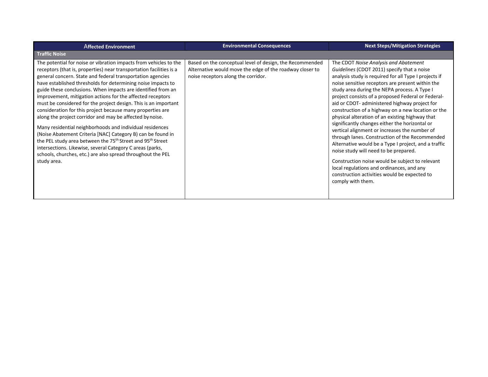| <b>Affected Environment</b>                                                                                                                                                                                                                                                                                                                                                                                                                                                                                                                                                                                                                                                                                                                                                                                                                                                                                                                                   | <b>Environmental Consequences</b>                                                                                                                           | <b>Next Steps/Mitigation Strategies</b>                                                                                                                                                                                                                                                                                                                                                                                                                                                                                                                                                                                                                                                                                                                                                                                                                                                      |
|---------------------------------------------------------------------------------------------------------------------------------------------------------------------------------------------------------------------------------------------------------------------------------------------------------------------------------------------------------------------------------------------------------------------------------------------------------------------------------------------------------------------------------------------------------------------------------------------------------------------------------------------------------------------------------------------------------------------------------------------------------------------------------------------------------------------------------------------------------------------------------------------------------------------------------------------------------------|-------------------------------------------------------------------------------------------------------------------------------------------------------------|----------------------------------------------------------------------------------------------------------------------------------------------------------------------------------------------------------------------------------------------------------------------------------------------------------------------------------------------------------------------------------------------------------------------------------------------------------------------------------------------------------------------------------------------------------------------------------------------------------------------------------------------------------------------------------------------------------------------------------------------------------------------------------------------------------------------------------------------------------------------------------------------|
| <b>Traffic Noise</b>                                                                                                                                                                                                                                                                                                                                                                                                                                                                                                                                                                                                                                                                                                                                                                                                                                                                                                                                          |                                                                                                                                                             |                                                                                                                                                                                                                                                                                                                                                                                                                                                                                                                                                                                                                                                                                                                                                                                                                                                                                              |
| The potential for noise or vibration impacts from vehicles to the<br>receptors (that is, properties) near transportation facilities is a<br>general concern. State and federal transportation agencies<br>have established thresholds for determining noise impacts to<br>guide these conclusions. When impacts are identified from an<br>improvement, mitigation actions for the affected receptors<br>must be considered for the project design. This is an important<br>consideration for this project because many properties are<br>along the project corridor and may be affected by noise.<br>Many residential neighborhoods and individual residences<br>(Noise Abatement Criteria [NAC] Category B) can be found in<br>the PEL study area between the 75 <sup>th</sup> Street and 95 <sup>th</sup> Street<br>intersections. Likewise, several Category C areas (parks,<br>schools, churches, etc.) are also spread throughout the PEL<br>study area. | Based on the conceptual level of design, the Recommended<br>Alternative would move the edge of the roadway closer to<br>noise receptors along the corridor. | The CDOT Noise Analysis and Abatement<br>Guidelines (CDOT 2011) specify that a noise<br>analysis study is required for all Type I projects if<br>noise sensitive receptors are present within the<br>study area during the NEPA process. A Type I<br>project consists of a proposed Federal or Federal-<br>aid or CDOT- administered highway project for<br>construction of a highway on a new location or the<br>physical alteration of an existing highway that<br>significantly changes either the horizontal or<br>vertical alignment or increases the number of<br>through lanes. Construction of the Recommended<br>Alternative would be a Type I project, and a traffic<br>noise study will need to be prepared.<br>Construction noise would be subject to relevant<br>local regulations and ordinances, and any<br>construction activities would be expected to<br>comply with them. |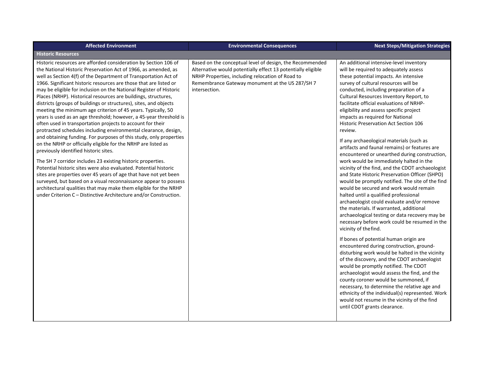| <b>Affected Environment</b>                                                                                                                                                                                                                                                                                                                                                                                                                                                                                                                                                                                                                                                                                                                                                                                                                                                                                                                                                                                                                                                                                                                                                                                                                                                                                                                                       | <b>Environmental Consequences</b>                                                                                                                                                                                                                | <b>Next Steps/Mitigation Strategies</b>                                                                                                                                                                                                                                                                                                                                                                                                                                                                                                                                                                                                                                                                                                                                                                                                                                                                                                                                                                                                                                                                                                                                                                                                                                                                                                                                                                                                                                                                                                                                                                      |
|-------------------------------------------------------------------------------------------------------------------------------------------------------------------------------------------------------------------------------------------------------------------------------------------------------------------------------------------------------------------------------------------------------------------------------------------------------------------------------------------------------------------------------------------------------------------------------------------------------------------------------------------------------------------------------------------------------------------------------------------------------------------------------------------------------------------------------------------------------------------------------------------------------------------------------------------------------------------------------------------------------------------------------------------------------------------------------------------------------------------------------------------------------------------------------------------------------------------------------------------------------------------------------------------------------------------------------------------------------------------|--------------------------------------------------------------------------------------------------------------------------------------------------------------------------------------------------------------------------------------------------|--------------------------------------------------------------------------------------------------------------------------------------------------------------------------------------------------------------------------------------------------------------------------------------------------------------------------------------------------------------------------------------------------------------------------------------------------------------------------------------------------------------------------------------------------------------------------------------------------------------------------------------------------------------------------------------------------------------------------------------------------------------------------------------------------------------------------------------------------------------------------------------------------------------------------------------------------------------------------------------------------------------------------------------------------------------------------------------------------------------------------------------------------------------------------------------------------------------------------------------------------------------------------------------------------------------------------------------------------------------------------------------------------------------------------------------------------------------------------------------------------------------------------------------------------------------------------------------------------------------|
| <b>Historic Resources</b>                                                                                                                                                                                                                                                                                                                                                                                                                                                                                                                                                                                                                                                                                                                                                                                                                                                                                                                                                                                                                                                                                                                                                                                                                                                                                                                                         |                                                                                                                                                                                                                                                  |                                                                                                                                                                                                                                                                                                                                                                                                                                                                                                                                                                                                                                                                                                                                                                                                                                                                                                                                                                                                                                                                                                                                                                                                                                                                                                                                                                                                                                                                                                                                                                                                              |
| Historic resources are afforded consideration by Section 106 of<br>the National Historic Preservation Act of 1966, as amended, as<br>well as Section 4(f) of the Department of Transportation Act of<br>1966. Significant historic resources are those that are listed or<br>may be eligible for inclusion on the National Register of Historic<br>Places (NRHP). Historical resources are buildings, structures,<br>districts (groups of buildings or structures), sites, and objects<br>meeting the minimum age criterion of 45 years. Typically, 50<br>years is used as an age threshold; however, a 45-year threshold is<br>often used in transportation projects to account for their<br>protracted schedules including environmental clearance, design,<br>and obtaining funding. For purposes of this study, only properties<br>on the NRHP or officially eligible for the NRHP are listed as<br>previously identified historic sites.<br>The SH 7 corridor includes 23 existing historic properties.<br>Potential historic sites were also evaluated. Potential historic<br>sites are properties over 45 years of age that have not yet been<br>surveyed, but based on a visual reconnaissance appear to possess<br>architectural qualities that may make them eligible for the NRHP<br>under Criterion C - Distinctive Architecture and/or Construction. | Based on the conceptual level of design, the Recommended<br>Alternative would potentially effect 13 potentially eligible<br>NRHP Properties, including relocation of Road to<br>Remembrance Gateway monument at the US 287/SH 7<br>intersection. | An additional intensive-level inventory<br>will be required to adequately assess<br>these potential impacts. An intensive<br>survey of cultural resources will be<br>conducted, including preparation of a<br>Cultural Resources Inventory Report, to<br>facilitate official evaluations of NRHP-<br>eligibility and assess specific project<br>impacts as required for National<br>Historic Preservation Act Section 106<br>review.<br>If any archaeological materials (such as<br>artifacts and faunal remains) or features are<br>encountered or unearthed during construction,<br>work would be immediately halted in the<br>vicinity of the find, and the CDOT archaeologist<br>and State Historic Preservation Officer (SHPO)<br>would be promptly notified. The site of the find<br>would be secured and work would remain<br>halted until a qualified professional<br>archaeologist could evaluate and/or remove<br>the materials. If warranted, additional<br>archaeological testing or data recovery may be<br>necessary before work could be resumed in the<br>vicinity of the find.<br>If bones of potential human origin are<br>encountered during construction, ground-<br>disturbing work would be halted in the vicinity<br>of the discovery, and the CDOT archaeologist<br>would be promptly notified. The CDOT<br>archaeologist would assess the find, and the<br>county coroner would be summoned, if<br>necessary, to determine the relative age and<br>ethnicity of the individual(s) represented. Work<br>would not resume in the vicinity of the find<br>until CDOT grants clearance. |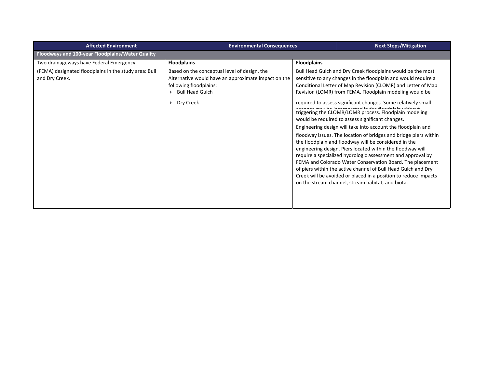| <b>Affected Environment</b>                                             |                    | <b>Environmental Consequences</b><br><b>Next Steps/Mitigation</b>                                                                                       |                    |                                                                                                                                                                                                                                                                                                                                                                                                                                                                                                                                                                                                                                                                                                                                                                                                                                                                                                                                                                                                                                                                                  |
|-------------------------------------------------------------------------|--------------------|---------------------------------------------------------------------------------------------------------------------------------------------------------|--------------------|----------------------------------------------------------------------------------------------------------------------------------------------------------------------------------------------------------------------------------------------------------------------------------------------------------------------------------------------------------------------------------------------------------------------------------------------------------------------------------------------------------------------------------------------------------------------------------------------------------------------------------------------------------------------------------------------------------------------------------------------------------------------------------------------------------------------------------------------------------------------------------------------------------------------------------------------------------------------------------------------------------------------------------------------------------------------------------|
| Floodways and 100-year Floodplains/Water Quality                        |                    |                                                                                                                                                         |                    |                                                                                                                                                                                                                                                                                                                                                                                                                                                                                                                                                                                                                                                                                                                                                                                                                                                                                                                                                                                                                                                                                  |
| Two drainageways have Federal Emergency                                 | <b>Floodplains</b> |                                                                                                                                                         | <b>Floodplains</b> |                                                                                                                                                                                                                                                                                                                                                                                                                                                                                                                                                                                                                                                                                                                                                                                                                                                                                                                                                                                                                                                                                  |
| (FEMA) designated floodplains in the study area: Bull<br>and Dry Creek. | Dry Creek          | Based on the conceptual level of design, the<br>Alternative would have an approximate impact on the<br>following floodplains:<br><b>Bull Head Gulch</b> |                    | Bull Head Gulch and Dry Creek floodplains would be the most<br>sensitive to any changes in the floodplain and would require a<br>Conditional Letter of Map Revision (CLOMR) and Letter of Map<br>Revision (LOMR) from FEMA. Floodplain modeling would be<br>required to assess significant changes. Some relatively small<br>abanana mau ba inangnagatad in tha flandelain without<br>triggering the CLOMR/LOMR process. Floodplain modeling<br>would be required to assess significant changes.<br>Engineering design will take into account the floodplain and<br>floodway issues. The location of bridges and bridge piers within<br>the floodplain and floodway will be considered in the<br>engineering design. Piers located within the floodway will<br>require a specialized hydrologic assessment and approval by<br>FEMA and Colorado Water Conservation Board. The placement<br>of piers within the active channel of Bull Head Gulch and Dry<br>Creek will be avoided or placed in a position to reduce impacts<br>on the stream channel, stream habitat, and biota. |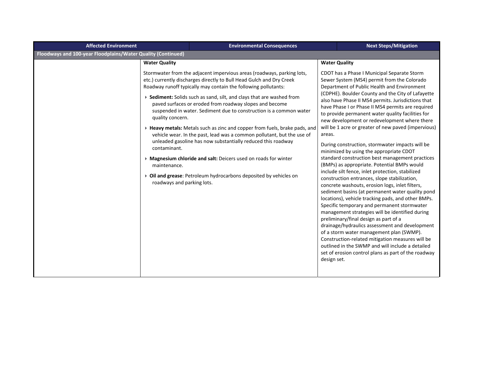| <b>Affected Environment</b>                                  | <b>Environmental Consequences</b>                                                                                                                                                                                                                                                                                                                                                                                                                                                                                                                                                                                                                                                                                                                                                                                                                                          | <b>Next Steps/Mitigation</b>                                                                                                                                                                                                                                                                                                                                                                                                                                                                                                                                                                                                                                                                                                                                                                                                                                                                                                                                                                                                                                                                                                                                                                                                                                                                                                                                            |
|--------------------------------------------------------------|----------------------------------------------------------------------------------------------------------------------------------------------------------------------------------------------------------------------------------------------------------------------------------------------------------------------------------------------------------------------------------------------------------------------------------------------------------------------------------------------------------------------------------------------------------------------------------------------------------------------------------------------------------------------------------------------------------------------------------------------------------------------------------------------------------------------------------------------------------------------------|-------------------------------------------------------------------------------------------------------------------------------------------------------------------------------------------------------------------------------------------------------------------------------------------------------------------------------------------------------------------------------------------------------------------------------------------------------------------------------------------------------------------------------------------------------------------------------------------------------------------------------------------------------------------------------------------------------------------------------------------------------------------------------------------------------------------------------------------------------------------------------------------------------------------------------------------------------------------------------------------------------------------------------------------------------------------------------------------------------------------------------------------------------------------------------------------------------------------------------------------------------------------------------------------------------------------------------------------------------------------------|
| Floodways and 100-year Floodplains/Water Quality (Continued) |                                                                                                                                                                                                                                                                                                                                                                                                                                                                                                                                                                                                                                                                                                                                                                                                                                                                            |                                                                                                                                                                                                                                                                                                                                                                                                                                                                                                                                                                                                                                                                                                                                                                                                                                                                                                                                                                                                                                                                                                                                                                                                                                                                                                                                                                         |
|                                                              | <b>Water Quality</b>                                                                                                                                                                                                                                                                                                                                                                                                                                                                                                                                                                                                                                                                                                                                                                                                                                                       | <b>Water Quality</b>                                                                                                                                                                                                                                                                                                                                                                                                                                                                                                                                                                                                                                                                                                                                                                                                                                                                                                                                                                                                                                                                                                                                                                                                                                                                                                                                                    |
|                                                              | Stormwater from the adjacent impervious areas (roadways, parking lots,<br>etc.) currently discharges directly to Bull Head Gulch and Dry Creek<br>Roadway runoff typically may contain the following pollutants:<br>▶ Sediment: Solids such as sand, silt, and clays that are washed from<br>paved surfaces or eroded from roadway slopes and become<br>suspended in water. Sediment due to construction is a common water<br>quality concern.<br>▶ Heavy metals: Metals such as zinc and copper from fuels, brake pads, and<br>vehicle wear. In the past, lead was a common pollutant, but the use of<br>unleaded gasoline has now substantially reduced this roadway<br>contaminant.<br>> Magnesium chloride and salt: Deicers used on roads for winter<br>maintenance.<br>Oil and grease: Petroleum hydrocarbons deposited by vehicles on<br>roadways and parking lots. | CDOT has a Phase I Municipal Separate Storm<br>Sewer System (MS4) permit from the Colorado<br>Department of Public Health and Environment<br>(CDPHE). Boulder County and the City of Lafayette<br>also have Phase II MS4 permits. Jurisdictions that<br>have Phase I or Phase II MS4 permits are required<br>to provide permanent water quality facilities for<br>new development or redevelopment where there<br>will be 1 acre or greater of new paved (impervious)<br>areas.<br>During construction, stormwater impacts will be<br>minimized by using the appropriate CDOT<br>standard construction best management practices<br>(BMPs) as appropriate. Potential BMPs would<br>include silt fence, inlet protection, stabilized<br>construction entrances, slope stabilization,<br>concrete washouts, erosion logs, inlet filters,<br>sediment basins (at permanent water quality pond<br>locations), vehicle tracking pads, and other BMPs.<br>Specific temporary and permanent stormwater<br>management strategies will be identified during<br>preliminary/final design as part of a<br>drainage/hydraulics assessment and development<br>of a storm water management plan (SWMP).<br>Construction-related mitigation measures will be<br>outlined in the SWMP and will include a detailed<br>set of erosion control plans as part of the roadway<br>design set. |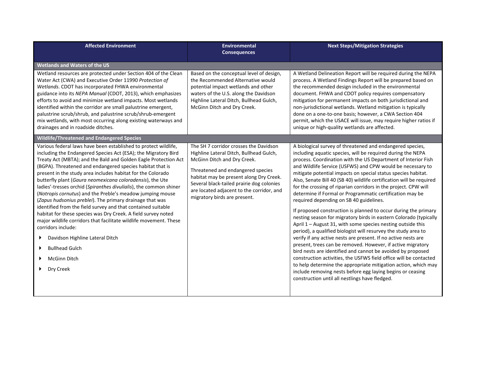| <b>Affected Environment</b>                                                                                                                                                                                                                                                                                                                                                                                                                                                                                                                                                                                                                                                                                                                                                                                                                                                                                                      | <b>Environmental</b><br><b>Consequences</b>                                                                                                                                                                                                                                                                                | <b>Next Steps/Mitigation Strategies</b>                                                                                                                                                                                                                                                                                                                                                                                                                                                                                                                                                                                                                                                                                                                                                                                                                                                                                                                                                                                                                                                                                                                                                                                                                                                                    |
|----------------------------------------------------------------------------------------------------------------------------------------------------------------------------------------------------------------------------------------------------------------------------------------------------------------------------------------------------------------------------------------------------------------------------------------------------------------------------------------------------------------------------------------------------------------------------------------------------------------------------------------------------------------------------------------------------------------------------------------------------------------------------------------------------------------------------------------------------------------------------------------------------------------------------------|----------------------------------------------------------------------------------------------------------------------------------------------------------------------------------------------------------------------------------------------------------------------------------------------------------------------------|------------------------------------------------------------------------------------------------------------------------------------------------------------------------------------------------------------------------------------------------------------------------------------------------------------------------------------------------------------------------------------------------------------------------------------------------------------------------------------------------------------------------------------------------------------------------------------------------------------------------------------------------------------------------------------------------------------------------------------------------------------------------------------------------------------------------------------------------------------------------------------------------------------------------------------------------------------------------------------------------------------------------------------------------------------------------------------------------------------------------------------------------------------------------------------------------------------------------------------------------------------------------------------------------------------|
| Wetlands and Waters of the US                                                                                                                                                                                                                                                                                                                                                                                                                                                                                                                                                                                                                                                                                                                                                                                                                                                                                                    |                                                                                                                                                                                                                                                                                                                            |                                                                                                                                                                                                                                                                                                                                                                                                                                                                                                                                                                                                                                                                                                                                                                                                                                                                                                                                                                                                                                                                                                                                                                                                                                                                                                            |
| Wetland resources are protected under Section 404 of the Clean<br>Water Act (CWA) and Executive Order 11990 Protection of<br>Wetlands. CDOT has incorporated FHWA environmental<br>guidance into its NEPA Manual (CDOT, 2013), which emphasizes<br>efforts to avoid and minimize wetland impacts. Most wetlands<br>identified within the corridor are small palustrine emergent,<br>palustrine scrub/shrub, and palustrine scrub/shrub-emergent<br>mix wetlands, with most occurring along existing waterways and<br>drainages and in roadside ditches.                                                                                                                                                                                                                                                                                                                                                                          | Based on the conceptual level of design,<br>the Recommended Alternative would<br>potential impact wetlands and other<br>waters of the U.S. along the Davidson<br>Highline Lateral Ditch, Bullhead Gulch,<br>McGinn Ditch and Dry Creek.                                                                                    | A Wetland Delineation Report will be required during the NEPA<br>process. A Wetland Findings Report will be prepared based on<br>the recommended design included in the environmental<br>document. FHWA and CDOT policy requires compensatory<br>mitigation for permanent impacts on both jurisdictional and<br>non-jurisdictional wetlands. Wetland mitigation is typically<br>done on a one-to-one basis; however, a CWA Section 404<br>permit, which the USACE will issue, may require higher ratios if<br>unique or high-quality wetlands are affected.                                                                                                                                                                                                                                                                                                                                                                                                                                                                                                                                                                                                                                                                                                                                                |
| Wildlife/Threatened and Endangered Species                                                                                                                                                                                                                                                                                                                                                                                                                                                                                                                                                                                                                                                                                                                                                                                                                                                                                       |                                                                                                                                                                                                                                                                                                                            |                                                                                                                                                                                                                                                                                                                                                                                                                                                                                                                                                                                                                                                                                                                                                                                                                                                                                                                                                                                                                                                                                                                                                                                                                                                                                                            |
| Various federal laws have been established to protect wildlife,<br>including the Endangered Species Act (ESA); the Migratory Bird<br>Treaty Act (MBTA); and the Bald and Golden Eagle Protection Act<br>(BGPA). Threatened and endangered species habitat that is<br>present in the study area includes habitat for the Colorado<br>butterfly plant (Gaura neomexicana coloradensis), the Ute<br>ladies'-tresses orchid (Spiranthes divulialis), the common shiner<br>( <i>Notropis cornutus</i> ) and the Preble's meadow jumping mouse<br>(Zapus hudsonius preblei). The primary drainage that was<br>identified from the field survey and that contained suitable<br>habitat for these species was Dry Creek. A field survey noted<br>major wildlife corridors that facilitate wildlife movement. These<br>corridors include:<br>Davidson Highline Lateral Ditch<br><b>Bullhead Gulch</b><br><b>McGinn Ditch</b><br>Dry Creek | The SH 7 corridor crosses the Davidson<br>Highline Lateral Ditch, Bullhead Gulch,<br>McGinn Ditch and Dry Creek.<br>Threatened and endangered species<br>habitat may be present along Dry Creek.<br>Several black-tailed prairie dog colonies<br>are located adjacent to the corridor, and<br>migratory birds are present. | A biological survey of threatened and endangered species,<br>including aquatic species, will be required during the NEPA<br>process. Coordination with the US Department of Interior Fish<br>and Wildlife Service (USFWS) and CPW would be necessary to<br>mitigate potential impacts on special status species habitat.<br>Also, Senate Bill 40 (SB 40) wildlife certification will be required<br>for the crossing of riparian corridors in the project. CPW will<br>determine if Formal or Programmatic certification may be<br>required depending on SB 40 guidelines.<br>If proposed construction is planned to occur during the primary<br>nesting season for migratory birds in eastern Colorado (typically<br>April 1 - August 31, with some species nesting outside this<br>period), a qualified biologist will resurvey the study area to<br>verify if any active nests are present. If no active nests are<br>present, trees can be removed. However, if active migratory<br>bird nests are identified and cannot be avoided by proposed<br>construction activities, the USFWS field office will be contacted<br>to help determine the appropriate mitigation action, which may<br>include removing nests before egg laying begins or ceasing<br>construction until all nestlings have fledged. |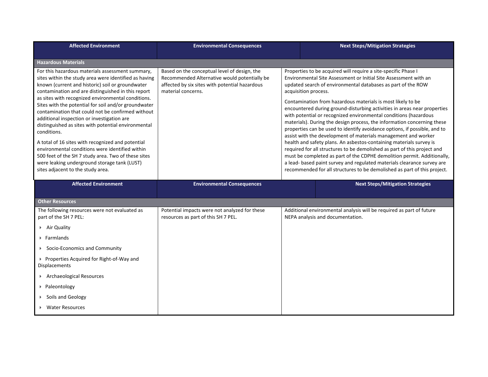| <b>Affected Environment</b>                                                                                                                                                                                                                                                                                                                                                                                                                                                                                                                                                                                                                                                                                                                                    | <b>Environmental Consequences</b>                                                                                                                                    | <b>Next Steps/Mitigation Strategies</b>                                                                                                                                                                                                                                                                                                                                                                                                                                                                                                                                                                                                                                                                                                                                                                                                                                                                                                                                                                                                                  |
|----------------------------------------------------------------------------------------------------------------------------------------------------------------------------------------------------------------------------------------------------------------------------------------------------------------------------------------------------------------------------------------------------------------------------------------------------------------------------------------------------------------------------------------------------------------------------------------------------------------------------------------------------------------------------------------------------------------------------------------------------------------|----------------------------------------------------------------------------------------------------------------------------------------------------------------------|----------------------------------------------------------------------------------------------------------------------------------------------------------------------------------------------------------------------------------------------------------------------------------------------------------------------------------------------------------------------------------------------------------------------------------------------------------------------------------------------------------------------------------------------------------------------------------------------------------------------------------------------------------------------------------------------------------------------------------------------------------------------------------------------------------------------------------------------------------------------------------------------------------------------------------------------------------------------------------------------------------------------------------------------------------|
| <b>Hazardous Materials</b>                                                                                                                                                                                                                                                                                                                                                                                                                                                                                                                                                                                                                                                                                                                                     |                                                                                                                                                                      |                                                                                                                                                                                                                                                                                                                                                                                                                                                                                                                                                                                                                                                                                                                                                                                                                                                                                                                                                                                                                                                          |
| For this hazardous materials assessment summary,<br>sites within the study area were identified as having<br>known (current and historic) soil or groundwater<br>contamination and are distinguished in this report<br>as sites with recognized environmental conditions.<br>Sites with the potential for soil and/or groundwater<br>contamination that could not be confirmed without<br>additional inspection or investigation are<br>distinguished as sites with potential environmental<br>conditions.<br>A total of 16 sites with recognized and potential<br>environmental conditions were identified within<br>500 feet of the SH 7 study area. Two of these sites<br>were leaking underground storage tank (LUST)<br>sites adjacent to the study area. | Based on the conceptual level of design, the<br>Recommended Alternative would potentially be<br>affected by six sites with potential hazardous<br>material concerns. | Properties to be acquired will require a site-specific Phase I<br>Environmental Site Assessment or Initial Site Assessment with an<br>updated search of environmental databases as part of the ROW<br>acquisition process.<br>Contamination from hazardous materials is most likely to be<br>encountered during ground-disturbing activities in areas near properties<br>with potential or recognized environmental conditions (hazardous<br>materials). During the design process, the information concerning these<br>properties can be used to identify avoidance options, if possible, and to<br>assist with the development of materials management and worker<br>health and safety plans. An asbestos-containing materials survey is<br>required for all structures to be demolished as part of this project and<br>must be completed as part of the CDPHE demolition permit. Additionally,<br>a lead- based paint survey and regulated materials clearance survey are<br>recommended for all structures to be demolished as part of this project. |
| <b>Affected Environment</b>                                                                                                                                                                                                                                                                                                                                                                                                                                                                                                                                                                                                                                                                                                                                    | <b>Environmental Consequences</b>                                                                                                                                    | <b>Next Steps/Mitigation Strategies</b>                                                                                                                                                                                                                                                                                                                                                                                                                                                                                                                                                                                                                                                                                                                                                                                                                                                                                                                                                                                                                  |
|                                                                                                                                                                                                                                                                                                                                                                                                                                                                                                                                                                                                                                                                                                                                                                |                                                                                                                                                                      |                                                                                                                                                                                                                                                                                                                                                                                                                                                                                                                                                                                                                                                                                                                                                                                                                                                                                                                                                                                                                                                          |
| <b>Other Resources</b>                                                                                                                                                                                                                                                                                                                                                                                                                                                                                                                                                                                                                                                                                                                                         |                                                                                                                                                                      |                                                                                                                                                                                                                                                                                                                                                                                                                                                                                                                                                                                                                                                                                                                                                                                                                                                                                                                                                                                                                                                          |
| The following resources were not evaluated as<br>part of the SH 7 PEL:                                                                                                                                                                                                                                                                                                                                                                                                                                                                                                                                                                                                                                                                                         | Potential impacts were not analyzed for these<br>resources as part of this SH 7 PEL.                                                                                 | Additional environmental analysis will be required as part of future<br>NEPA analysis and documentation.                                                                                                                                                                                                                                                                                                                                                                                                                                                                                                                                                                                                                                                                                                                                                                                                                                                                                                                                                 |
| Air Quality                                                                                                                                                                                                                                                                                                                                                                                                                                                                                                                                                                                                                                                                                                                                                    |                                                                                                                                                                      |                                                                                                                                                                                                                                                                                                                                                                                                                                                                                                                                                                                                                                                                                                                                                                                                                                                                                                                                                                                                                                                          |
| $\triangleright$ Farmlands                                                                                                                                                                                                                                                                                                                                                                                                                                                                                                                                                                                                                                                                                                                                     |                                                                                                                                                                      |                                                                                                                                                                                                                                                                                                                                                                                                                                                                                                                                                                                                                                                                                                                                                                                                                                                                                                                                                                                                                                                          |
| ▶ Socio-Economics and Community                                                                                                                                                                                                                                                                                                                                                                                                                                                                                                                                                                                                                                                                                                                                |                                                                                                                                                                      |                                                                                                                                                                                                                                                                                                                                                                                                                                                                                                                                                                                                                                                                                                                                                                                                                                                                                                                                                                                                                                                          |
| ▶ Properties Acquired for Right-of-Way and<br>Displacements                                                                                                                                                                                                                                                                                                                                                                                                                                                                                                                                                                                                                                                                                                    |                                                                                                                                                                      |                                                                                                                                                                                                                                                                                                                                                                                                                                                                                                                                                                                                                                                                                                                                                                                                                                                                                                                                                                                                                                                          |
| ▶ Archaeological Resources                                                                                                                                                                                                                                                                                                                                                                                                                                                                                                                                                                                                                                                                                                                                     |                                                                                                                                                                      |                                                                                                                                                                                                                                                                                                                                                                                                                                                                                                                                                                                                                                                                                                                                                                                                                                                                                                                                                                                                                                                          |
| ▶ Paleontology                                                                                                                                                                                                                                                                                                                                                                                                                                                                                                                                                                                                                                                                                                                                                 |                                                                                                                                                                      |                                                                                                                                                                                                                                                                                                                                                                                                                                                                                                                                                                                                                                                                                                                                                                                                                                                                                                                                                                                                                                                          |
| Soils and Geology                                                                                                                                                                                                                                                                                                                                                                                                                                                                                                                                                                                                                                                                                                                                              |                                                                                                                                                                      |                                                                                                                                                                                                                                                                                                                                                                                                                                                                                                                                                                                                                                                                                                                                                                                                                                                                                                                                                                                                                                                          |